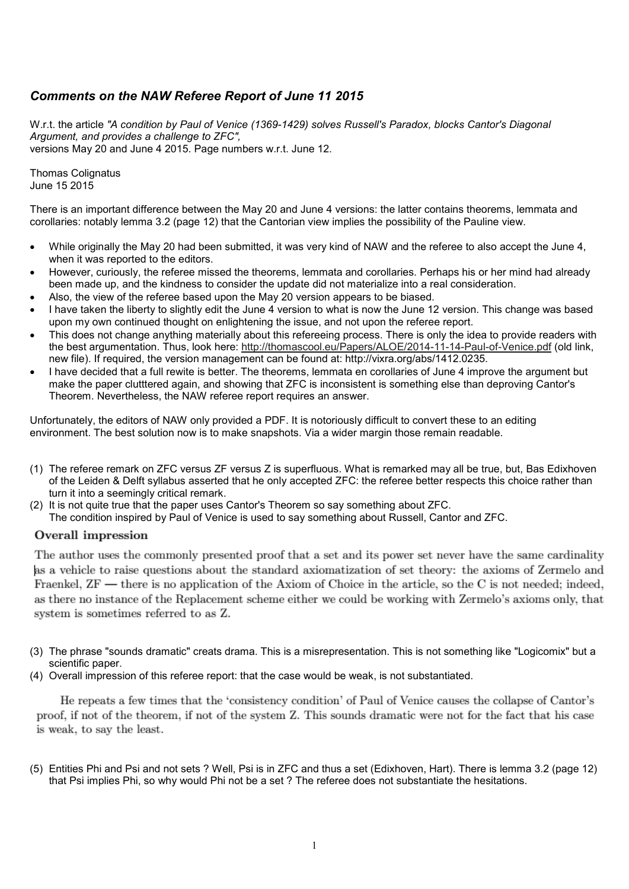# *Comments on the NAW Referee Report of June 11 2015*

W.r.t. the article *"A condition by Paul of Venice (1369-1429) solves Russell's Paradox, blocks Cantor's Diagonal Argument, and provides a challenge to ZFC",* versions May 20 and June 4 2015. Page numbers w.r.t. June 12.

Thomas Colignatus June 15 2015

There is an important difference between the May 20 and June 4 versions: the latter contains theorems, lemmata and corollaries: notably lemma 3.2 (page 12) that the Cantorian view implies the possibility of the Pauline view.

- While originally the May 20 had been submitted, it was very kind of NAW and the referee to also accept the June 4, when it was reported to the editors.
- However, curiously, the referee missed the theorems, lemmata and corollaries. Perhaps his or her mind had already been made up, and the kindness to consider the update did not materialize into a real consideration.
- Also, the view of the referee based upon the May 20 version appears to be biased.
- I have taken the liberty to slightly edit the June 4 version to what is now the June 12 version. This change was based upon my own continued thought on enlightening the issue, and not upon the referee report.
- This does not change anything materially about this refereeing process. There is only the idea to provide readers with the best argumentation. Thus, look here: http://thomascool.eu/Papers/ALOE/2014-11-14-Paul-of-Venice.pdf (old link, new file). If required, the version management can be found at: http://vixra.org/abs/1412.0235.
- I have decided that a full rewite is better. The theorems, lemmata en corollaries of June 4 improve the argument but make the paper clutttered again, and showing that ZFC is inconsistent is something else than deproving Cantor's Theorem. Nevertheless, the NAW referee report requires an answer.

Unfortunately, the editors of NAW only provided a PDF. It is notoriously difficult to convert these to an editing environment. The best solution now is to make snapshots. Via a wider margin those remain readable.

- (1) The referee remark on ZFC versus ZF versus Z is superfluous. What is remarked may all be true, but, Bas Edixhoven of the Leiden & Delft syllabus asserted that he only accepted ZFC: the referee better respects this choice rather than turn it into a seemingly critical remark.
- (2) It is not quite true that the paper uses Cantor's Theorem so say something about ZFC.
	- The condition inspired by Paul of Venice is used to say something about Russell, Cantor and ZFC.

## Overall impression

The author uses the commonly presented proof that a set and its power set never have the same cardinality as a vehicle to raise questions about the standard axiomatization of set theory: the axioms of Zermelo and Fraenkel, ZF — there is no application of the Axiom of Choice in the article, so the C is not needed; indeed, as there no instance of the Replacement scheme either we could be working with Zermelo's axioms only, that system is sometimes referred to as Z.

- (3) The phrase "sounds dramatic" creats drama. This is a misrepresentation. This is not something like "Logicomix" but a scientific paper.
- (4) Overall impression of this referee report: that the case would be weak, is not substantiated.

He repeats a few times that the 'consistency condition' of Paul of Venice causes the collapse of Cantor's proof, if not of the theorem, if not of the system Z. This sounds dramatic were not for the fact that his case is weak, to say the least.

(5) Entities Phi and Psi and not sets ? Well, Psi is in ZFC and thus a set (Edixhoven, Hart). There is lemma 3.2 (page 12) that Psi implies Phi, so why would Phi not be a set ? The referee does not substantiate the hesitations.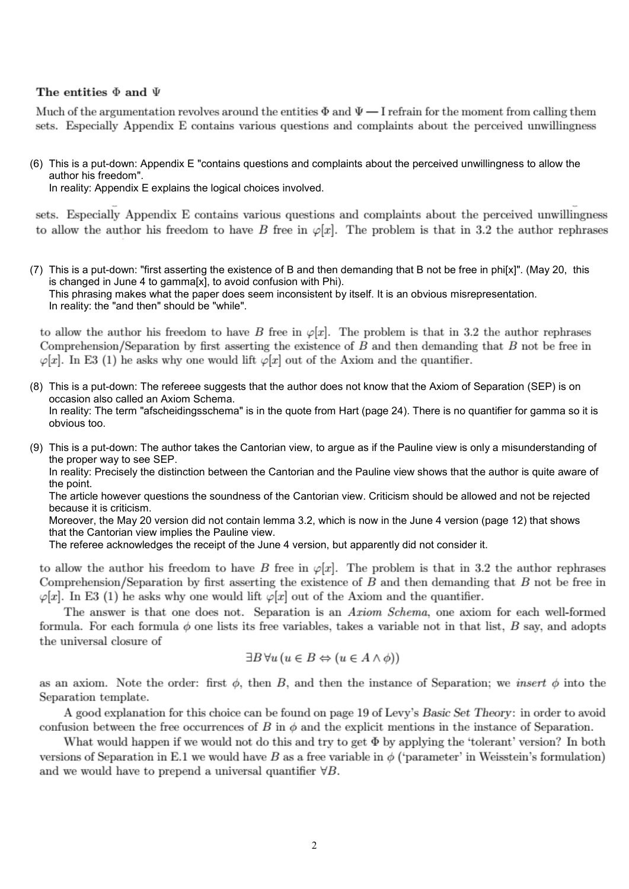### The entities  $\Phi$  and  $\Psi$

Much of the argumentation revolves around the entities  $\Phi$  and  $\Psi - I$  refrain for the moment from calling them sets. Especially Appendix E contains various questions and complaints about the perceived unwillingness

(6) This is a put-down: Appendix E "contains questions and complaints about the perceived unwillingness to allow the author his freedom".

In reality: Appendix E explains the logical choices involved.

sets. Especially Appendix E contains various questions and complaints about the perceived unwillingness to allow the author his freedom to have B free in  $\varphi[x]$ . The problem is that in 3.2 the author rephrases

(7) This is a put-down: "first asserting the existence of B and then demanding that B not be free in phi[x]". (May 20, this is changed in June 4 to gamma[x], to avoid confusion with Phi). This phrasing makes what the paper does seem inconsistent by itself. It is an obvious misrepresentation. In reality: the "and then" should be "while".

to allow the author his freedom to have B free in  $\varphi[x]$ . The problem is that in 3.2 the author rephrases Comprehension/Separation by first asserting the existence of  $B$  and then demanding that  $B$  not be free in  $\varphi[x]$ . In E3 (1) he asks why one would lift  $\varphi[x]$  out of the Axiom and the quantifier.

- (8) This is a put-down: The refereee suggests that the author does not know that the Axiom of Separation (SEP) is on occasion also called an Axiom Schema. In reality: The term "afscheidingsschema" is in the quote from Hart (page 24). There is no quantifier for gamma so it is obvious too.
- (9) This is a put-down: The author takes the Cantorian view, to argue as if the Pauline view is only a misunderstanding of the proper way to see SEP.

In reality: Precisely the distinction between the Cantorian and the Pauline view shows that the author is quite aware of the point.

The article however questions the soundness of the Cantorian view. Criticism should be allowed and not be rejected because it is criticism.

Moreover, the May 20 version did not contain lemma 3.2, which is now in the June 4 version (page 12) that shows that the Cantorian view implies the Pauline view.

The referee acknowledges the receipt of the June 4 version, but apparently did not consider it.

to allow the author his freedom to have B free in  $\varphi[x]$ . The problem is that in 3.2 the author rephrases Comprehension/Separation by first asserting the existence of  $B$  and then demanding that  $B$  not be free in  $\varphi[x]$ . In E3 (1) he asks why one would lift  $\varphi[x]$  out of the Axiom and the quantifier.

The answer is that one does not. Separation is an Axiom Schema, one axiom for each well-formed formula. For each formula  $\phi$  one lists its free variables, takes a variable not in that list, B say, and adopts the universal closure of

$$
\exists B \forall u (u \in B \Leftrightarrow (u \in A \land \phi))
$$

as an axiom. Note the order: first  $\phi$ , then B, and then the instance of Separation; we *insert*  $\phi$  into the Separation template.

A good explanation for this choice can be found on page 19 of Levy's Basic Set Theory: in order to avoid confusion between the free occurrences of B in  $\phi$  and the explicit mentions in the instance of Separation.

What would happen if we would not do this and try to get  $\Phi$  by applying the 'tolerant' version? In both versions of Separation in E.1 we would have B as a free variable in  $\phi$  ('parameter' in Weisstein's formulation) and we would have to prepend a universal quantifier  $\forall B$ .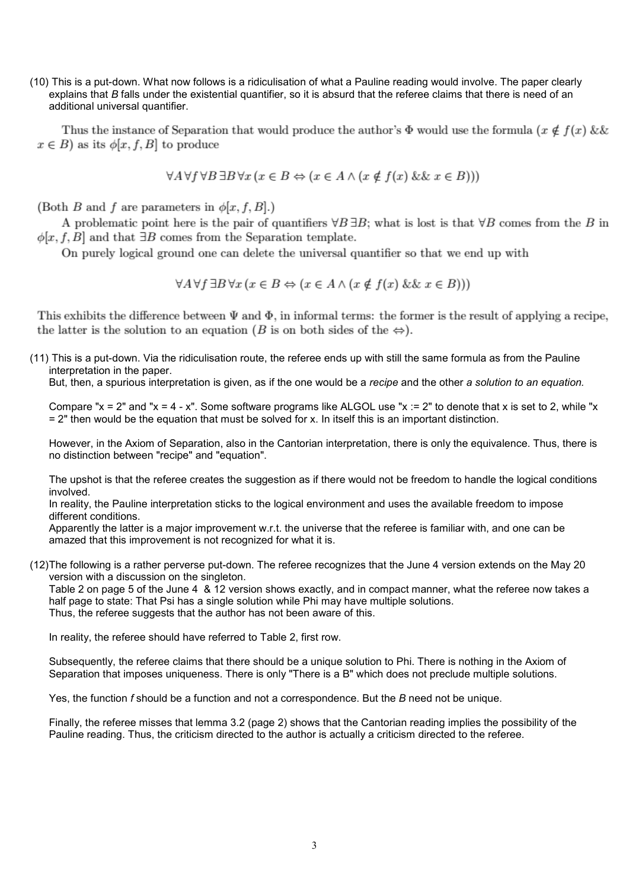(10) This is a put-down. What now follows is a ridiculisation of what a Pauline reading would involve. The paper clearly explains that *B* falls under the existential quantifier, so it is absurd that the referee claims that there is need of an additional universal quantifier.

Thus the instance of Separation that would produce the author's  $\Phi$  would use the formula  $(x \notin f(x) \&\&\)$  $x \in B$  as its  $\phi[x, f, B]$  to produce

 $\forall A \forall f \forall B \exists B \forall x (x \in B \Leftrightarrow (x \in A \land (x \notin f(x) \&\& x \in B)))$ 

(Both B and f are parameters in  $\phi[x, f, B]$ .)

A problematic point here is the pair of quantifiers  $\forall B \exists B$ ; what is lost is that  $\forall B$  comes from the B in  $\phi[x, f, B]$  and that  $\exists B$  comes from the Separation template.

On purely logical ground one can delete the universal quantifier so that we end up with

 $\forall A \forall f \exists B \forall x (x \in B \Leftrightarrow (x \in A \wedge (x \notin f(x) \&\& x \in B)))$ 

This exhibits the difference between  $\Psi$  and  $\Phi$ , in informal terms: the former is the result of applying a recipe, the latter is the solution to an equation (B is on both sides of the  $\Leftrightarrow$ ).

(11) This is a put-down. Via the ridiculisation route, the referee ends up with still the same formula as from the Pauline interpretation in the paper.

But, then, a spurious interpretation is given, as if the one would be a *recipe* and the other *a solution to an equation.*

Compare " $x = 2$ " and " $x = 4 - x$ ". Some software programs like ALGOL use " $x := 2$ " to denote that x is set to 2, while "x = 2" then would be the equation that must be solved for x. In itself this is an important distinction.

However, in the Axiom of Separation, also in the Cantorian interpretation, there is only the equivalence. Thus, there is no distinction between "recipe" and "equation".

The upshot is that the referee creates the suggestion as if there would not be freedom to handle the logical conditions involved.

In reality, the Pauline interpretation sticks to the logical environment and uses the available freedom to impose different conditions.

Apparently the latter is a major improvement w.r.t. the universe that the referee is familiar with, and one can be amazed that this improvement is not recognized for what it is.

(12) The following is a rather perverse put-down. The referee recognizes that the June 4 version extends on the May 20 version with a discussion on the singleton.

Table 2 on page 5 of the June 4 & 12 version shows exactly, and in compact manner, what the referee now takes a half page to state: That Psi has a single solution while Phi may have multiple solutions. Thus, the referee suggests that the author has not been aware of this.

In reality, the referee should have referred to Table 2, first row.

Subsequently, the referee claims that there should be a unique solution to Phi. There is nothing in the Axiom of Separation that imposes uniqueness. There is only "There is a B" which does not preclude multiple solutions.

Yes, the function *f* should be a function and not a correspondence. But the *B* need not be unique.

Finally, the referee misses that lemma 3.2 (page 2) shows that the Cantorian reading implies the possibility of the Pauline reading. Thus, the criticism directed to the author is actually a criticism directed to the referee.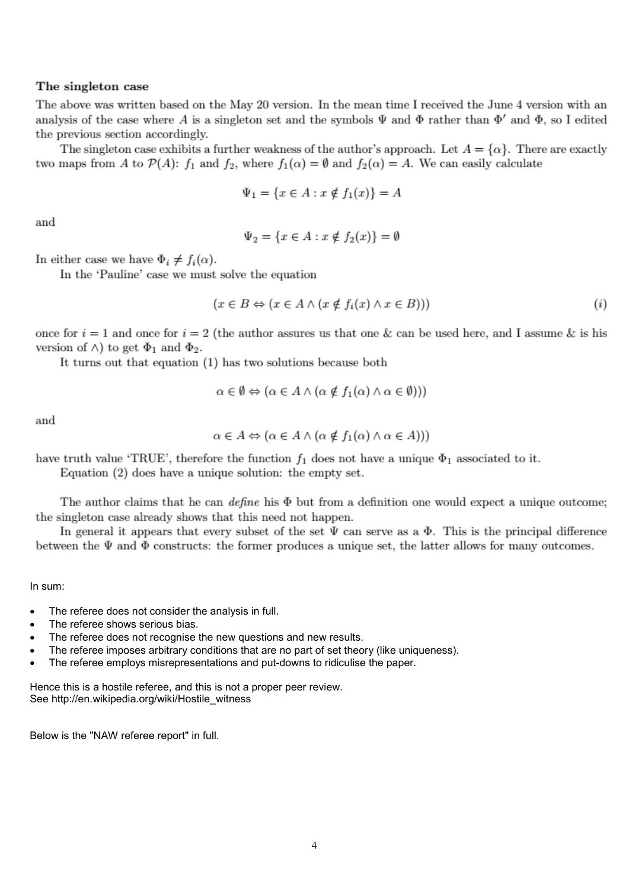## The singleton case

The above was written based on the May 20 version. In the mean time I received the June 4 version with an analysis of the case where A is a singleton set and the symbols  $\Psi$  and  $\Phi$  rather than  $\Phi'$  and  $\Phi$ , so I edited the previous section accordingly.

The singleton case exhibits a further weakness of the author's approach. Let  $A = {\alpha}$ . There are exactly two maps from A to  $\mathcal{P}(A)$ :  $f_1$  and  $f_2$ , where  $f_1(\alpha) = \emptyset$  and  $f_2(\alpha) = A$ . We can easily calculate

$$
\Psi_1 = \{ x \in A : x \notin f_1(x) \} = A
$$

and

$$
\Psi_2 = \{ x \in A : x \notin f_2(x) \} = \emptyset
$$

In either case we have  $\Phi_i \neq f_i(\alpha)$ .

In the 'Pauline' case we must solve the equation

$$
(x \in B \Leftrightarrow (x \in A \land (x \notin f_i(x) \land x \in B))) \tag{i}
$$

once for  $i = 1$  and once for  $i = 2$  (the author assures us that one & can be used here, and I assume & is his version of  $\wedge$ ) to get  $\Phi_1$  and  $\Phi_2$ .

It turns out that equation (1) has two solutions because both

$$
\alpha \in \emptyset \Leftrightarrow (\alpha \in A \land (\alpha \notin f_1(\alpha) \land \alpha \in \emptyset)))
$$

and

$$
\alpha \in A \Leftrightarrow (\alpha \in A \land (\alpha \notin f_1(\alpha) \land \alpha \in A)))
$$

have truth value 'TRUE', therefore the function  $f_1$  does not have a unique  $\Phi_1$  associated to it.

Equation  $(2)$  does have a unique solution: the empty set.

The author claims that he can *define* his  $\Phi$  but from a definition one would expect a unique outcome; the singleton case already shows that this need not happen.

In general it appears that every subset of the set  $\Psi$  can serve as a  $\Phi$ . This is the principal difference between the  $\Psi$  and  $\Phi$  constructs: the former produces a unique set, the latter allows for many outcomes.

In sum:

- The referee does not consider the analysis in full.
- The referee shows serious bias.
- The referee does not recognise the new questions and new results.
- The referee imposes arbitrary conditions that are no part of set theory (like uniqueness).
- The referee employs misrepresentations and put-downs to ridiculise the paper.

Hence this is a hostile referee, and this is not a proper peer review. See http://en.wikipedia.org/wiki/Hostile\_witness

Below is the "NAW referee report" in full.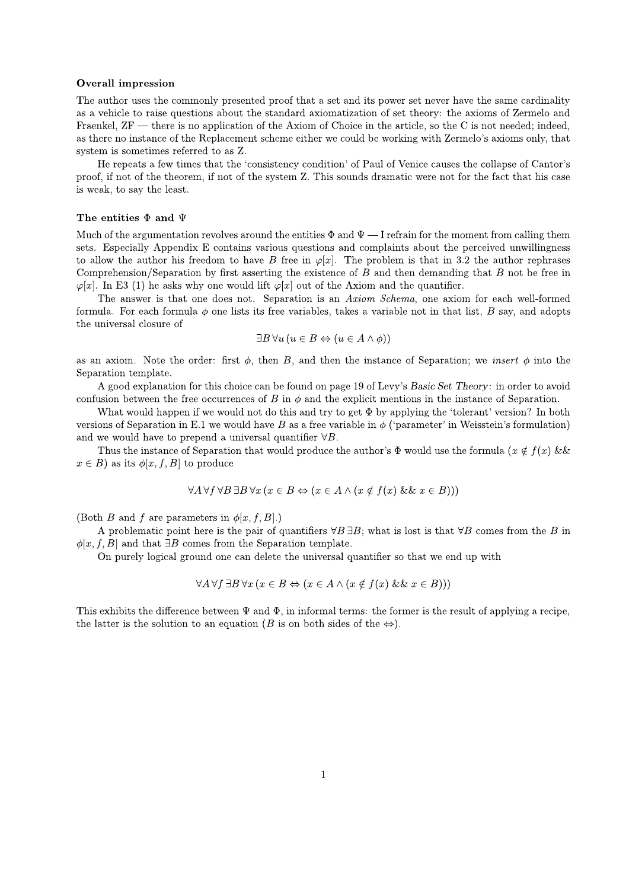#### **Overall impression**

The author uses the commonly presented proof that a set and its power set never have the same cardinality as a vehicle to raise questions about the standard axiomatization of set theory: the axioms of Zermelo and Fraenkel, ZF — there is no application of the Axiom of Choice in the article, so the C is not needed; indeed, as there no instance of the Replacement scheme either we could be working with Zermelo's axioms only, that system is sometimes referred to as Z.

He repeats a few times that the 'consistency condition' of Paul of Venice causes the collapse of Cantor's proof, if not of the theorem, if not of the system Z. This sounds dramatic were not for the fact that his case is weak, to say the least.

#### The entities  $\Phi$  and  $\Psi$

Much of the argumentation revolves around the entities  $\Phi$  and  $\Psi$  — I refrain for the moment from calling them sets. Especially Appendix E contains various questions and complaints about the perceived unwillingness to allow the author his freedom to have B free in  $\varphi[x]$ . The problem is that in 3.2 the author rephrases Comprehension/Separation by first asserting the existence of  $B$  and then demanding that  $B$  not be free in  $\varphi[x]$ . In E3 (1) he asks why one would lift  $\varphi[x]$  out of the Axiom and the quantifier.

The answer is that one does not. Separation is an Axiom Schema, one axiom for each well-formed formula. For each formula  $\phi$  one lists its free variables, takes a variable not in that list, B say, and adopts the universal closure of

$$
\exists B \,\forall u \,(u \in B \Leftrightarrow (u \in A \land \phi))
$$

as an axiom. Note the order: first  $\phi$ , then B, and then the instance of Separation; we *insert*  $\phi$  into the Separation template.

A good explanation for this choice can be found on page 19 of Levy's Basic Set Theory: in order to avoid confusion between the free occurrences of B in  $\phi$  and the explicit mentions in the instance of Separation.

What would happen if we would not do this and try to get  $\Phi$  by applying the 'tolerant' version? In both versions of Separation in E.1 we would have B as a free variable in  $\phi$  ('parameter' in Weisstein's formulation) and we would have to prepend a universal quantifier  $\forall B$ .

Thus the instance of Separation that would produce the author's  $\Phi$  would use the formula  $(x \notin f(x))$  &&  $x \in B$  as its  $\phi[x, f, B]$  to produce

$$
\forall A \,\forall f \,\forall B \,\exists B \,\forall x \,(x \in B \Leftrightarrow (x \in A \land (x \notin f(x) \&\& x \in B)))
$$

(Both B and f are parameters in  $\phi[x, f, B]$ .)

A problematic point here is the pair of quantifiers  $\forall B \exists B$ ; what is lost is that  $\forall B$  comes from the B in  $\phi[x, f, B]$  and that  $\exists B$  comes from the Separation template.

On purely logical ground one can delete the universal quantifier so that we end up with

$$
\forall A \,\forall f \,\exists B \,\forall x \,(x \in B \Leftrightarrow (x \in A \land (x \notin f(x) \&\& x \in B)))
$$

This exhibits the difference between  $\Psi$  and  $\Phi$ , in informal terms: the former is the result of applying a recipe. the latter is the solution to an equation (B is on both sides of the  $\Leftrightarrow$ ).